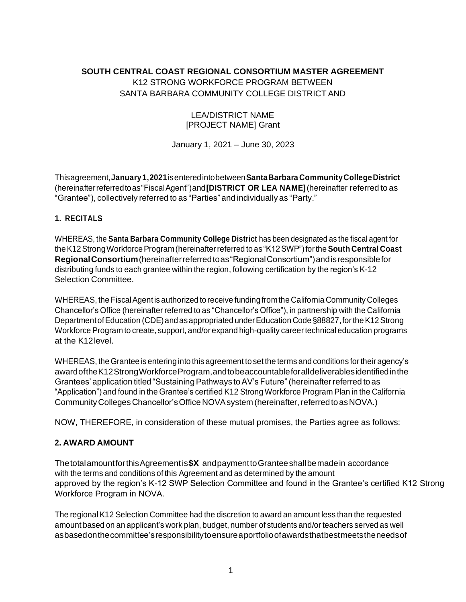# **SOUTH CENTRAL COAST REGIONAL CONSORTIUM MASTER AGREEMENT**

K12 STRONG WORKFORCE PROGRAM BETWEEN SANTA BARBARA COMMUNITY COLLEGE DISTRICT AND

### LEA/DISTRICT NAME [PROJECT NAME] Grant

January 1, 2021 – June 30, 2023

Thisagreement,**January1,2021**isenteredintobetween**SantaBarbara CommunityCollegeDistrict**  (hereinafterreferredtoas"FiscalAgent")and**[DISTRICT OR LEA NAME]**(hereinafter referred to as "Grantee"), collectively referred to as "Parties" and individually as "Party."

# **1. RECITALS**

WHEREAS, the **Santa Barbara Community College District** has been designated as the fiscal agent for theK12StrongWorkforceProgram(hereinafterreferred to as"K12SWP")forthe **South Central Coast RegionalConsortium**(hereinafterreferredtoas"RegionalConsortium")andisresponsiblefor distributing funds to each grantee within the region, following certification by the region's K-12 Selection Committee.

WHEREAS, the Fiscal Agent is authorized to receive funding from the California Community Colleges Chancellor's Office (hereinafter referred to as "Chancellor's Office"), in partnership with the California Department of Education (CDE) and as appropriated under Education Code §88827, for the K12 Strong Workforce Program to create, support, and/or expand high-quality career technical education programs at the K12level.

WHEREAS, the Grantee is entering into this agreement to set the terms and conditions fortheir agency's awardoftheK12StrongWorkforceProgram,andtobeaccountableforalldeliverablesidentifiedinthe Grantees' application titled "SustainingPathways toAV's Future" (hereinafterreferred to as "Application") and found in the Grantee's certified K12 Strong Workforce Program Plan in the California Community Colleges Chancellor's Office NOVA system (hereinafter, referred to as NOVA.)

NOW, THEREFORE, in consideration of these mutual promises, the Parties agree as follows:

# **2. AWARD AMOUNT**

ThetotalamountforthisAgreementis**\$X** andpaymenttoGranteeshallbemadein accordance with the terms and conditions of this Agreement and as determined by the amount approved by the region's K-12 SWP Selection Committee and found in the Grantee's certified K12 Strong Workforce Program in NOVA.

The regional K12 Selection Committee had the discretion to award an amount less than the requested amount based on an applicant's work plan, budget, number of students and/or teachers served as well asbasedonthecommittee'sresponsibilitytoensureaportfolioofawardsthatbestmeetstheneedsof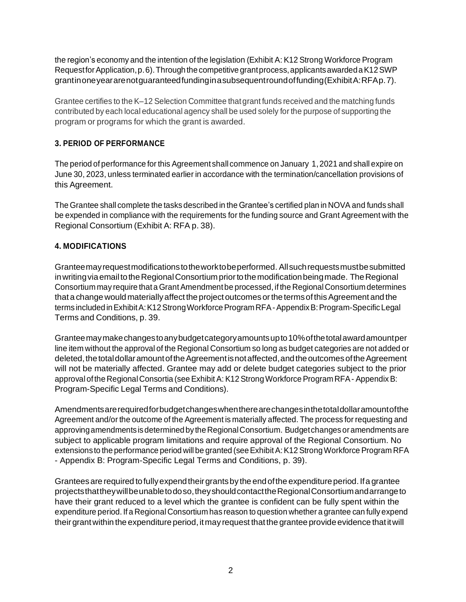the region's economy and the intention of the legislation (Exhibit A: K12 Strong Workforce Program Request for Application, p.6). Through the competitive grant process, applicants awarded a K12 SWP grantinoneyeararenotguaranteedfundinginasubsequentroundoffunding(ExhibitA:RFAp.7).

Grantee certifies to the K–12 Selection Committee thatgrant funds received and the matching funds contributed by each local educational agency shall be used solely for the purpose of supporting the program or programs for which the grant is awarded.

# **3. PERIOD OF PERFORMANCE**

The period of performance for this Agreement shall commence on January 1,2021 and shall expire on June 30, 2023, unless terminated earlier in accordance with the termination/cancellation provisions of this Agreement.

The Grantee shall complete the tasks described in the Grantee's certified plan in NOVA and funds shall be expended in compliance with the requirements for the funding source and Grant Agreement with the Regional Consortium (Exhibit A: RFA p. 38).

# **4. MODIFICATIONS**

Granteemayrequestmodificationstotheworktobeperformed. Allsuchrequestsmustbesubmitted in writing via email to the Regional Consortium prior to the modification being made. The Regional Consortium may require that a Grant Amendment be processed, if the Regional Consortium determines that a change would materially affect the project outcomes or the terms of this Agreement and the terms included in Exhibit A: K12 Strong Workforce Program RFA - Appendix B: Program-Specific Legal Terms and Conditions, p. 39.

Granteemaymakechangestoanybudgetcategoryamountsupto10%ofthetotalawardamountper line item without the approval of the Regional Consortium so long as budget categories are not added or deleted, the total dollar amount of the Agreement is not affected, and the outcomes of the Agreement will not be materially affected. Grantee may add or delete budget categories subject to the prior approval of the Regional Consortia (see Exhibit A: K12 Strong Workforce Program RFA - Appendix B: Program-Specific Legal Terms and Conditions).

Amendmentsarerequiredforbudgetchangeswhentherearechangesinthetotaldollaramountofthe Agreement and/or the outcome of the Agreement is materially affected. The process for requesting and approving amendments is determined by the Regional Consortium. Budget changes or amendments are subject to applicable program limitations and require approval of the Regional Consortium. No extensions to the performance period will be granted (see Exhibit A: K12 Strong Workforce Program RFA - Appendix B: Program-Specific Legal Terms and Conditions, p. 39).

Granteesare required tofullyexpendtheirgrantsby the endofthe expenditureperiod. Ifa grantee projectsthattheywillbeunabletodoso,theyshouldcontacttheRegionalConsortiumandarrangeto have their grant reduced to a level which the grantee is confident can be fully spent within the expenditure period. If a Regional Consortium has reason to question whether a grantee can fully expend their grant within the expenditure period, it may request that the grantee provide evidence that it will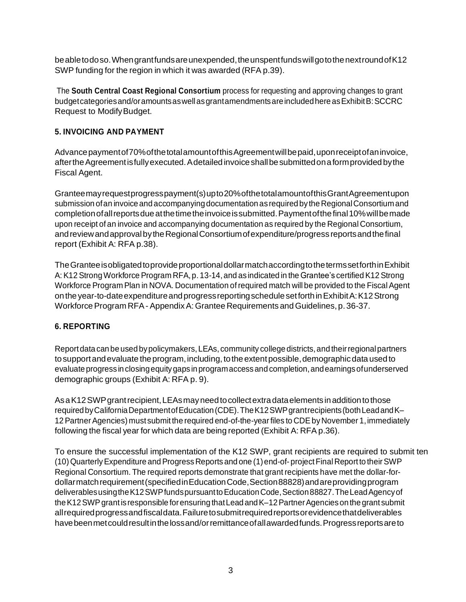beabletodoso. When grantfunds are unexpended, the unspentfunds will go to the next round of K12 SWP funding for the region in which it was awarded (RFA p.39).

The **South Central Coast Regional Consortium** process for requesting and approving changes to grant budgetcategoriesand/oramountsaswellasgrantamendmentsareincludedhere asExhibitB:SCCRC Request to ModifyBudget.

# **5. INVOICING AND PAYMENT**

Advance payment of 70% of the total amount of this Agreement will be paid, upon receipt of an invoice, aftertheAgreementisfullyexecuted.Adetailedinvoiceshallbesubmittedonaformprovidedbythe Fiscal Agent.

Granteemayrequestprogresspayment(s)upto20%ofthetotalamountofthisGrantAgreementupon submission of an invoice and accompanying documentation as required by the Regional Consortium and completionofallreportsdueatthetimetheinvoiceissubmitted.Paymentofthefinal10%willbemade upon receipt of an invoice and accompanying documentation as required by the Regional Consortium, and review and approval by the Regional Consortium of expenditure/progress reports and the final report (Exhibit A: RFA p.38).

TheGranteeisobligatedtoprovideproportionaldollarmatchaccordingtothetermssetforthinExhibit A: K12 Strong Workforce Program RFA, p. 13-14, and as indicated in the Grantee's certified K12 Strong Workforce Program Plan in NOVA. Documentation of required match will be provided to the Fiscal Agent ontheyear-to-dateexpenditureandprogressreportingschedulesetforthinExhibitA:K12Strong Workforce Program RFA- Appendix A: Grantee Requirements and Guidelines, p. 36-37.

# **6. REPORTING**

Report data can be used by policymakers, LEAs, community college districts, and their regional partners to support and evaluate the program, including, to the extent possible, demographic data used to evaluate progress in closing equity gaps in program access and completion, and earnings of underserved demographic groups (Exhibit A: RFA p. 9).

As a K12 SWP grant recipient, LEAs may need to collect extra data elements in addition to those requiredbyCaliforniaDepartmentofEducation(CDE).TheK12SWPgrantrecipients(bothLeadandK– 12 Partner Agencies) must submit the required end-of-the-year files to CDE by November 1, immediately following the fiscal year for which data are being reported (Exhibit A: RFA p.36).

To ensure the successful implementation of the K12 SWP, grant recipients are required to submit ten (10) Quarterly Expenditure and Progress Reports and one (1) end-of- project Final Report to their SWP Regional Consortium. The required reports demonstrate that grant recipients have met the dollar-fordollarmatchrequirement(specifiedinEducationCode,Section88828)andareprovidingprogram deliverablesusingtheK12SWPfundspursuanttoEducationCode,Section88827.TheLeadAgencyof the K12 SWP grant is responsible for ensuring that Lead and K–12 Partner Agencies on the grant submit allrequiredprogressandfiscaldata.Failuretosubmitrequiredreportsorevidencethatdeliverables havebeenmetcouldresultinthelossand/orremittanceofallawardedfunds.Progressreportsareto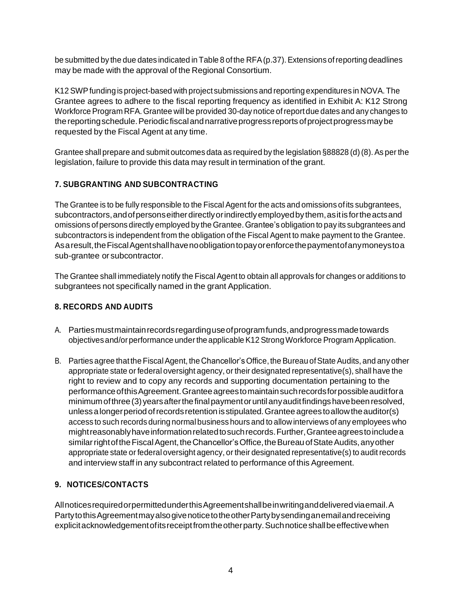be submitted by the due dates indicated in Table 8 of the RFA (p.37). Extensions of reporting deadlines may be made with the approval of the Regional Consortium.

K12SWPfunding is project-based with project submissions and reporting expenditures in NOVA. The Grantee agrees to adhere to the fiscal reporting frequency as identified in Exhibit A: K12 Strong Workforce Program RFA.Grantee willbe provided 30-day notice ofreportdue dates and any changes to the reporting schedule. Periodic fiscal and narrative progress reports of project progress may be requested by the Fiscal Agent at any time.

Grantee shall prepare and submit outcomes data as required by the legislation  $\S 88828$  (d) (8). As per the legislation, failure to provide this data may result in termination of the grant.

# **7. SUBGRANTING AND SUBCONTRACTING**

The Grantee is to be fully responsible to the Fiscal Agent for the acts and omissions of its subgrantees, subcontractors,andofpersonseitherdirectlyorindirectlyemployedbythem,asitisfortheactsand omissions of persons directly employed by the Grantee. Grantee's obligation to pay its subgrantees and subcontractors is independent from the obligation of the Fiscal Agent to make payment to the Grantee. Asaresult, the Fiscal Agentshall have noobligation to pay or enforce the payment of any moneysto a sub-grantee or subcontractor.

The Grantee shall immediately notify the Fiscal Agent to obtain all approvals for changes or additions to subgrantees not specifically named in the grant Application.

# **8. RECORDS AND AUDITS**

- A. Partiesmustmaintainrecordsregardinguseofprogramfunds,andprogressmadetowards objectives and/or performance under the applicable K12 Strong Workforce Program Application.
- B. Parties agree that the Fiscal Agent, the Chancellor's Office, the Bureau of State Audits, and any other appropriate state or federal oversight agency, or their designated representative(s), shall have the right to review and to copy any records and supporting documentation pertaining to the performance of this Agreement. Grantee agrees to maintain such records for possible audit for a minimumofthree(3)yearsafterthefinalpaymentoruntilanyauditfindingshavebeenresolved, unlessalongerperiodofrecordsretentionisstipulated.Granteeagreestoallowtheauditor(s) access to such records during normal business hours and to allow interviews of any employees who mightreasonablyhaveinformationrelatedtosuchrecords.Further,Granteeagreestoincludea similar right of the Fiscal Agent, the Chancellor's Office, the Bureau of State Audits, any other appropriate state or federal oversight agency, or their designated representative(s) to audit records and interview staff in any subcontract related to performance of this Agreement.

# **9. NOTICES/CONTACTS**

AllnoticesrequiredorpermittedunderthisAgreementshallbeinwritinganddeliveredviaemail.A PartytothisAgreementmayalsogivenoticetotheotherPartybysendinganemailandreceiving explicitacknowledgementofitsreceiptfromtheotherparty.Suchnoticeshallbeeffectivewhen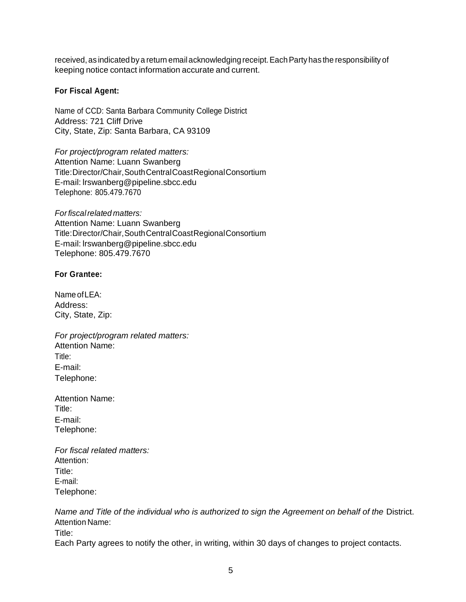received, as indicated by a return email acknowledging receipt. Each Party has the responsibility of keeping notice contact information accurate and current.

#### **For Fiscal Agent:**

Name of CCD: Santa Barbara Community College District Address: 721 Cliff Drive City, State, Zip: Santa Barbara, CA 93109

*For project/program related matters:* Attention Name: Luann Swanberg Title:Director/Chair,SouthCentralCoastRegionalConsortium E-mail: [lrswanberg@pipeline.sbcc.edu](mailto:lrswanberg@pipeline.sbcc.edu) Telephone: 805.479.7670

*Forfiscalrelated matters:* Attention Name: Luann Swanberg Title:Director/Chair,SouthCentralCoastRegionalConsortium E-mail: [lrswanberg@pipeline.sbcc.edu](mailto:lrswanberg@pipeline.sbcc.edu) Telephone: 805.479.7670

#### **For Grantee:**

Name ofLEA: Address: City, State, Zip:

*For project/program related matters:* Attention Name: Title: E-mail: Telephone:

Attention Name: Title: E-mail: Telephone:

*For fiscal related matters:* Attention: Title: E-mail: Telephone:

*Name and Title of the individual who is authorized to sign the Agreement on behalf of the District.* Attention Name: Title: Each Party agrees to notify the other, in writing, within 30 days of changes to project contacts.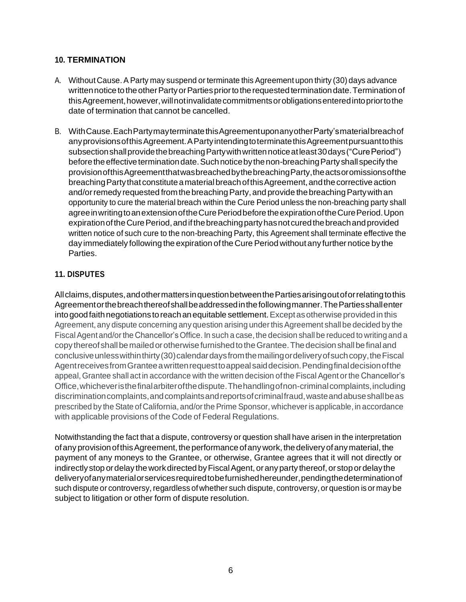### **10. TERMINATION**

- A. Without Cause. A Party may suspend or terminate this Agreement upon thirty (30) days advance written notice to the other Party or Parties prior to the requested termination date. Termination of this Agreement, however, will not invalidate commitments or obligations entered into prior to the date of termination that cannot be cancelled.
- B. WithCause.EachPartymayterminatethisAgreementuponanyotherParty'smaterialbreachof anyprovisionsofthisAgreement.APartyintendingtoterminatethisAgreementpursuanttothis subsection shall provide the breaching Party with written notice at least 30 days ("Cure Period") before the effective termination date. Such notice by the non-breaching Party shall specify the provisionofthisAgreementthatwasbreachedbythebreachingParty,theactsoromissionsofthe breaching Party that constitute a material breach of this Agreement, and the corrective action and/or remedy requested from the breaching Party, and provide the breaching Party with an opportunity to cure the material breach within the Cure Period unless the non-breaching party shall agreeinwritingtoanextensionoftheCurePeriodbeforetheexpirationoftheCurePeriod.Upon expiration of the Cure Period, and if the breaching party has not cured the breach and provided written notice of such cure to the non-breaching Party, this Agreement shall terminate effective the day immediately following the expiration ofthe Cure Period withoutany further notice by the Parties.

### **11. DISPUTES**

Allclaims,disputes,andothermattersinquestionbetweenthePartiesarisingoutoforrelatingtothis Agreementorthebreachthereofshallbeaddressedinthefollowingmanner.ThePartiesshallenter into good faith negotiations to reach an equitable settlement. Except as otherwise provided in this Agreement, any dispute concerning any question arising under this Agreement shall be decided by the Fiscal Agent and/or the Chancellor's Office. In such a case, the decision shall be reduced to writing and a copythereofshallbemailedorotherwisefurnishedtotheGrantee.Thedecisionshallbefinaland conclusive unless within thirty (30) calendar days from the mailing or delivery of such copy, the Fiscal AgentreceivesfromGranteeawrittenrequesttoappealsaiddecision.Pendingfinaldecisionofthe appeal, Grantee shall act in accordance with the written decision of the Fiscal Agent or the Chancellor's Office,whicheveristhefinalarbiterofthedispute.Thehandlingofnon-criminalcomplaints,including discriminationcomplaints,andcomplaintsandreportsofcriminalfraud,wasteandabuseshallbeas prescribed by the State of California, and/or the Prime Sponsor, whichever is applicable, in accordance with applicable provisions of the Code of Federal Regulations.

Notwithstanding the fact that a dispute, controversy or question shall have arisen in the interpretation of any provision of this Agreement, the performance of any work, the delivery of any material, the payment of any moneys to the Grantee, or otherwise, Grantee agrees that it will not directly or indirectly stop or delay the work directed by Fiscal Agent, or any party thereof, or stop or delay the deliveryofanymaterialorservicesrequiredtobefurnishedhereunder,pendingthedeterminationof such dispute or controversy, regardless of whether such dispute, controversy, or question is or may be subject to litigation or other form of dispute resolution.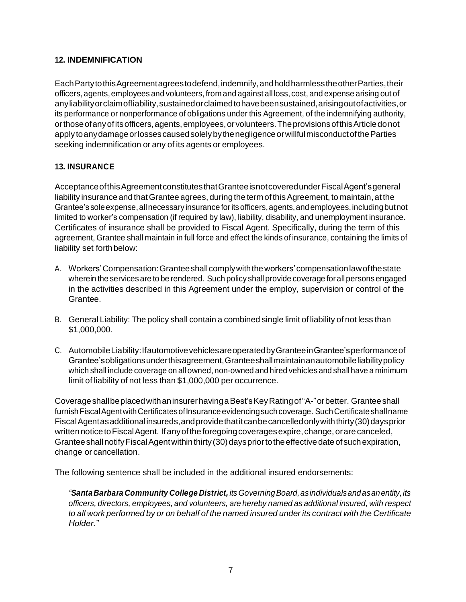### **12. INDEMNIFICATION**

EachPartytothisAgreementagreestodefend,indemnify,andholdharmlesstheotherParties,their officers,agents,employees and volunteers,from and against all loss, cost, and expense arising out of anyliabilityorclaimofliability,sustainedorclaimedtohavebeensustained,arisingoutofactivities,or its performance or nonperformance of obligations under this Agreement, of the indemnifying authority, orthoseofanyofitsofficers,agents,employees,orvolunteers.TheprovisionsofthisArticledonot apply to any damage or losses caused solely by the negligence or willful misconduct of the Parties seeking indemnification or any of its agents or employees.

### **13. INSURANCE**

AcceptanceofthisAgreementconstitutesthatGranteeisnotcoveredunderFiscalAgent'sgeneral liability insurance and that Grantee agrees, during the term of this Agreement, to maintain, at the Grantee's sole expense, all necessary insurance for its officers, agents, and employees, including but not limited to worker's compensation (if required by law), liability, disability, and unemployment insurance. Certificates of insurance shall be provided to Fiscal Agent. Specifically, during the term of this agreement, Grantee shall maintain in full force and effect the kinds of insurance, containing the limits of liability set forth below:

- A. Workers'Compensation:Granteeshallcomplywiththeworkers'compensationlawofthestate wherein the servicesare to be rendered. Such policy shall provide coverage forall personsengaged in the activities described in this Agreement under the employ, supervision or control of the Grantee.
- B. General Liability: The policy shall contain a combined single limit of liability of not less than \$1,000,000.
- C. AutomobileLiability:IfautomotivevehiclesareoperatedbyGranteeinGrantee'sperformanceof Grantee'sobligationsunderthisagreement,Granteeshallmaintainanautomobileliabilitypolicy which shall include coverage on all owned, non-owned and hired vehicles and shall have a minimum limit of liability of not less than \$1,000,000 per occurrence.

CoverageshallbeplacedwithaninsurerhavingaBest'sKeyRatingof"A-"orbetter. Granteeshall furnish Fiscal Agent with Certificates of Insurance evidencing such coverage. Such Certificate shall name Fiscal Agentas additional insureds, and provide that it can be cancelled only with thirty (30) days prior written notice to Fiscal Agent. If any of the foregoing coverages expire, change, or are canceled, Grantee shall notify Fiscal Agent within thirty (30) days prior to the effective date of such expiration, change or cancellation.

The following sentence shall be included in the additional insured endorsements:

*"Santa Barbara Community College District, itsGoverningBoard,asindividualsandasanentity,its officers, directors, employees, and volunteers, are hereby named as additional insured, with respect*  to all work performed by or on behalf of the named insured under its contract with the Certificate *Holder."*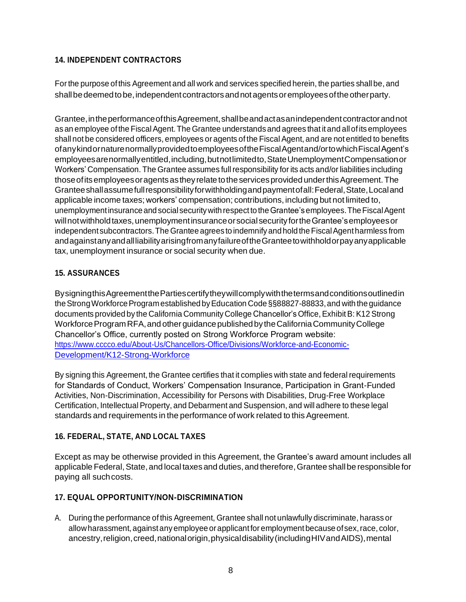# **14. INDEPENDENT CONTRACTORS**

Forthe purpose ofthis Agreement and all work and services specified herein, the parties shallbe, and shall be deemed to be, independent contractors and not agents or employees of the other party.

Grantee,intheperformanceofthisAgreement,shallbeandactasanindependentcontractorandnot as an employee ofthe FiscalAgent.The Grantee understandsand agrees that it and allofits employees shall not be considered officers, employees or agents of the Fiscal Agent, and are not entitled to benefits ofanykindornaturenormallyprovidedtoemployeesoftheFiscalAgentand/ortowhichFiscalAgent's employeesarenormallyentitled,including,butnotlimitedto,StateUnemploymentCompensationor Workers' Compensation. The Grantee assumes full responsibility for its acts and/or liabilities including thoseofitsemployeesoragentsastheyrelatetotheservicesprovidedunderthisAgreement.The Granteeshallassumefullresponsibilityforwithholdingandpaymentofall:Federal,State,Localand applicable income taxes; workers' compensation; contributions, including but not limited to, unemployment insurance and social security with respect to the Grantee's employees. The Fiscal Agent will not withhold taxes, unemployment insurance or social security for the Grantee's employees or independent subcontractors. The Grantee agrees to indemnify and hold the Fiscal Agent harmless from andagainstanyandallliabilityarisingfromanyfailureoftheGranteetowithholdorpayanyapplicable tax, unemployment insurance or social security when due.

# **15. ASSURANCES**

BysigningthisAgreementthePartiescertifytheywillcomplywiththetermsandconditionsoutlinedin the Strong Workforce Program established by Education Code §§88827-88833, and with the guidance documents provided by the California Community College Chancellor's Office, Exhibit B: K12 Strong Workforce Program RFA, and other guidance published by the California Community College Chancellor's Office, currently posted on Strong Workforce Program website: [https://www.cccco.edu/About-Us/Chancellors-Office/Divisions/Workforce-and-Economic-](https://www.cccco.edu/About-Us/Chancellors-Office/Divisions/Workforce-and-Economic-Development/K12-Strong-Workforce)[Development/K12-Strong-Workforce](https://www.cccco.edu/About-Us/Chancellors-Office/Divisions/Workforce-and-Economic-Development/K12-Strong-Workforce)

By signing this Agreement, the Grantee certifies that it complies with state and federal requirements for Standards of Conduct, Workers' Compensation Insurance, Participation in Grant-Funded Activities, Non-Discrimination, Accessibility for Persons with Disabilities, Drug-Free Workplace Certification, Intellectual Property, and Debarment and Suspension, and will adhere to these legal standards and requirements in the performance of work related to this Agreement.

# **16. FEDERAL, STATE, AND LOCAL TAXES**

Except as may be otherwise provided in this Agreement, the Grantee's award amount includes all applicable Federal, State, and local taxes and duties, and therefore, Grantee shall be responsible for paying all such costs.

# **17. EQUAL OPPORTUNITY/NON-DISCRIMINATION**

A. During the performance of this Agreement, Grantee shall not unlawfully discriminate, harass or allow harassment, against any employee or applicant for employment because of sex, race, color, ancestry, religion, creed, national origin, physical disability (including HIV and AIDS), mental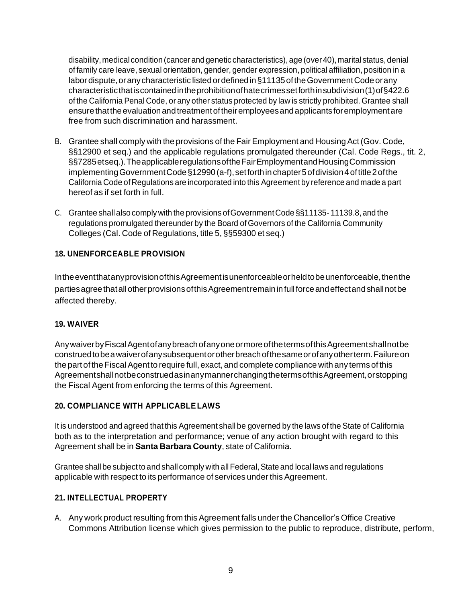disability, medical condition (cancer and genetic characteristics), age (over 40), marital status, denial of family care leave, sexual orientation, gender, gender expression, political affiliation, position in a labor dispute, or any characteristic listed or defined in §11135 of the Government Code or any characteristicthatiscontainedintheprohibitionofhatecrimessetforthinsubdivision(1)of§422.6 of the California Penal Code, or any other status protected by law is strictly prohibited. Grantee shall ensure that the evaluation and treatment of their employees and applicants for employment are free from such discrimination and harassment.

- B. Grantee shall comply with the provisions of the Fair Employment and HousingAct(Gov. Code, §§12900 et seq.) and the applicable regulations promulgated thereunder (Cal. Code Regs., tit. 2, §§7285etseq.).TheapplicableregulationsoftheFairEmploymentandHousingCommission implementingGovernmentCode§12990(a-f),setforthinchapter5ofdivision4oftitle2ofthe California Code of Regulations are incorporated into this Agreement by reference and made a part hereof as if set forth in full.
- C. Grantee shall also comply with the provisions ofGovernmentCode §§11135- 11139.8,and the regulations promulgated thereunder by the Board of Governors of the California Community Colleges (Cal. Code of Regulations, title 5, §§59300 et seq.)

# **18. UNENFORCEABLE PROVISION**

IntheeventthatanyprovisionofthisAgreementisunenforceableorheldtobeunenforceable,thenthe partiesagreethatallotherprovisionsofthisAgreementremaininfullforceandeffectandshallnotbe affected thereby.

# **19. WAIVER**

AnywaiverbyFiscalAgentofanybreachofanyoneormoreofthetermsofthisAgreementshallnotbe construedtobeawaiverofanysubsequentorotherbreachofthesameorofanyotherterm.Failureon the part of the Fiscal Agent to require full, exact, and complete compliance with any terms of this AgreementshallnotbeconstruedasinanymannerchangingthetermsofthisAgreement,orstopping the Fiscal Agent from enforcing the terms of this Agreement.

# **20. COMPLIANCE WITH APPLICABLELAWS**

It is understood and agreed that this Agreement shall be governed by the laws of the State of California both as to the interpretation and performance; venue of any action brought with regard to this Agreement shall be in **Santa Barbara County**, state of California.

Grantee shall be subject to and shall comply with all Federal, State and local laws and regulations applicable with respect to its performance of services under this Agreement.

# **21. INTELLECTUAL PROPERTY**

A. Any work product resulting from this Agreement falls under the Chancellor's Office Creative Commons Attribution license which gives permission to the public to reproduce, distribute, perform,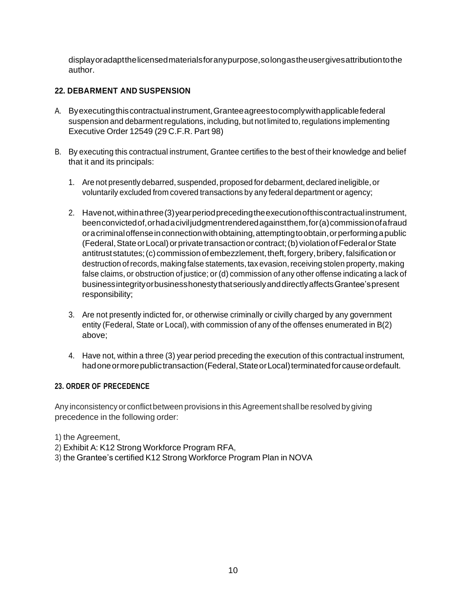displayoradaptthelicensedmaterialsforanypurpose,solongastheusergivesattributiontothe author.

# **22. DEBARMENT AND SUSPENSION**

- A. Byexecutingthiscontractualinstrument,Granteeagreestocomplywithapplicablefederal suspension and debarment regulations, including, but not limited to, regulations implementing Executive Order 12549 (29 C.F.R. Part 98)
- B. By executing this contractual instrument, Grantee certifies to the best of their knowledge and belief that it and its principals:
	- 1. Are not presently debarred, suspended, proposed for debarment, declared ineligible, or voluntarily excluded from covered transactions by any federal department or agency;
	- 2. Havenot,withinathree(3)yearperiodprecedingtheexecutionofthiscontractualinstrument, beenconvictedof,orhadaciviljudgmentrenderedagainstthem,for(a)commissionofafraud or a criminal offense in connection with obtaining, attempting to obtain, or performing a public (Federal,StateorLocal)orprivatetransactionorcontract;(b) violationofFederalorState antitrust statutes; (c) commission of embezzlement, theft, forgery, bribery, falsification or destruction of records, making false statements, tax evasion, receiving stolen property, making false claims, or obstruction of justice; or (d) commission of any other offense indicating a lack of businessintegrityorbusinesshonestythatseriouslyanddirectlyaffectsGrantee'spresent responsibility;
	- 3. Are not presently indicted for, or otherwise criminally or civilly charged by any government entity (Federal, State or Local), with commission of any of the offenses enumerated in B(2) above;
	- 4. Have not, within a three (3) year period preceding the execution of this contractual instrument, hadone ormore public transaction (Federal, State or Local) terminated for cause or default.

# **23. ORDER OF PRECEDENCE**

Any inconsistency or conflictbetween provisions in this Agreement shall be resolved by giving precedence in the following order:

- 1) the Agreement,
- 2) Exhibit A: K12 Strong Workforce Program RFA,
- 3) the Grantee's certified K12 Strong Workforce Program Plan in NOVA